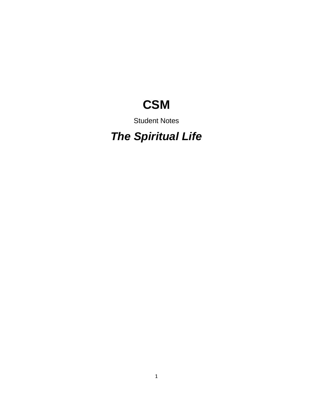# **CSM**

# Student Notes

# *The Spiritual Life*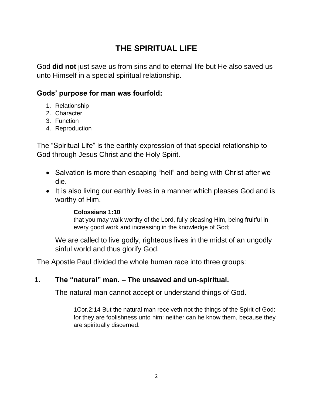# **THE SPIRITUAL LIFE**

God **did not** just save us from sins and to eternal life but He also saved us unto Himself in a special spiritual relationship.

#### **Gods' purpose for man was fourfold:**

- 1. Relationship
- 2. Character
- 3. Function
- 4. Reproduction

The "Spiritual Life" is the earthly expression of that special relationship to God through Jesus Christ and the Holy Spirit.

- Salvation is more than escaping "hell" and being with Christ after we die.
- It is also living our earthly lives in a manner which pleases God and is worthy of Him.

#### **Colossians 1:10**

that you may walk worthy of the Lord, fully pleasing Him, being fruitful in every good work and increasing in the knowledge of God;

We are called to live godly, righteous lives in the midst of an ungodly sinful world and thus glorify God.

The Apostle Paul divided the whole human race into three groups:

#### **1. The "natural" man. – The unsaved and un-spiritual.**

The natural man cannot accept or understand things of God.

1Cor.2:14 But the natural man receiveth not the things of the Spirit of God: for they are foolishness unto him: neither can he know them, because they are spiritually discerned.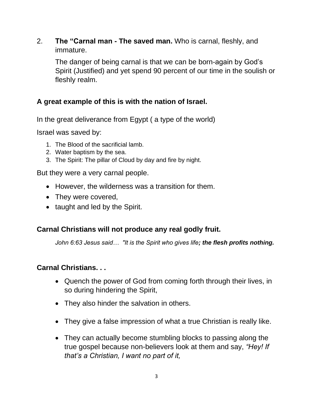2. **The "Carnal man - The saved man.** Who is carnal, fleshly, and immature.

The danger of being carnal is that we can be born-again by God's Spirit (Justified) and yet spend 90 percent of our time in the soulish or fleshly realm.

## **A great example of this is with the nation of Israel.**

In the great deliverance from Egypt ( a type of the world)

Israel was saved by:

- 1. The Blood of the sacrificial lamb.
- 2. Water baptism by the sea.
- 3. The Spirit: The pillar of Cloud by day and fire by night.

But they were a very carnal people.

- However, the wilderness was a transition for them.
- They were covered,
- taught and led by the Spirit.

# **Carnal Christians will not produce any real godly fruit.**

*John 6:63 Jesus said… "It is the Spirit who gives life; the flesh profits nothing.*

#### **Carnal Christians. . .**

- Quench the power of God from coming forth through their lives, in so during hindering the Spirit,
- They also hinder the salvation in others.
- They give a false impression of what a true Christian is really like.
- They can actually become stumbling blocks to passing along the true gospel because non-believers look at them and say, *"Hey! If that's a Christian, I want no part of it,*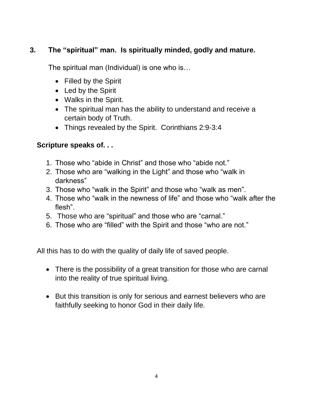# **3. The "spiritual" man. Is spiritually minded, godly and mature.**

The spiritual man (Individual) is one who is…

- Filled by the Spirit
- Led by the Spirit
- Walks in the Spirit.
- The spiritual man has the ability to understand and receive a certain body of Truth.
- Things revealed by the Spirit. Corinthians 2:9-3:4

#### **Scripture speaks of. . .**

- 1. Those who "abide in Christ" and those who "abide not."
- 2. Those who are "walking in the Light" and those who "walk in darkness"
- 3. Those who "walk in the Spirit" and those who "walk as men".
- 4. Those who "walk in the newness of life" and those who "walk after the flesh".
- 5. Those who are "spiritual" and those who are "carnal."
- 6. Those who are "filled" with the Spirit and those "who are not."

All this has to do with the quality of daily life of saved people.

- There is the possibility of a great transition for those who are carnal into the reality of true spiritual living.
- But this transition is only for serious and earnest believers who are faithfully seeking to honor God in their daily life.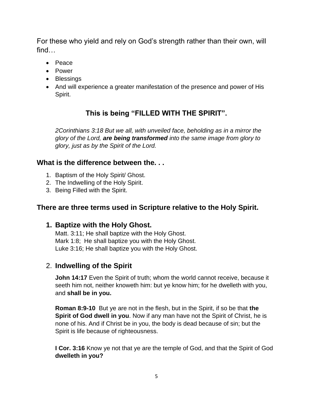For these who yield and rely on God's strength rather than their own, will find…

- Peace
- Power
- Blessings
- And will experience a greater manifestation of the presence and power of His Spirit.

# **This is being "FILLED WITH THE SPIRIT".**

*2Corinthians 3:18 But we all, with unveiled face, beholding as in a mirror the glory of the Lord, are being transformed into the same image from glory to glory, just as by the Spirit of the Lord.*

#### **What is the difference between the. . .**

- 1. Baptism of the Holy Spirit/ Ghost.
- 2. The Indwelling of the Holy Spirit.
- 3. Being Filled with the Spirit.

#### **There are three terms used in Scripture relative to the Holy Spirit.**

#### **1. Baptize with the Holy Ghost.**

Matt. 3:11; He shall baptize with the Holy Ghost. Mark 1:8; He shall baptize you with the Holy Ghost. Luke 3:16; He shall baptize you with the Holy Ghost.

#### 2. **Indwelling of the Spirit**

**John 14:17** Even the Spirit of truth; whom the world cannot receive, because it seeth him not, neither knoweth him: but ye know him; for he dwelleth with you, and **shall be in you.**

**Roman 8:9-10** But ye are not in the flesh, but in the Spirit, if so be that **the Spirit of God dwell in you**. Now if any man have not the Spirit of Christ, he is none of his. And if Christ be in you, the body is dead because of sin; but the Spirit is life because of righteousness.

**I Cor. 3:16** Know ye not that ye are the temple of God, and that the Spirit of God **dwelleth in you?**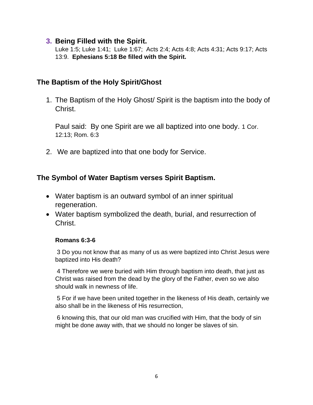#### **3. Being Filled with the Spirit.**

Luke 1:5; Luke 1:41; Luke 1:67; Acts 2:4; Acts 4:8; Acts 4:31; Acts 9:17; Acts 13:9. **Ephesians 5:18 Be filled with the Spirit.**

#### **The Baptism of the Holy Spirit/Ghost**

1. The Baptism of the Holy Ghost/ Spirit is the baptism into the body of Christ.

Paul said: By one Spirit are we all baptized into one body. 1 Cor. 12:13; Rom. 6:3

2. We are baptized into that one body for Service.

## **The Symbol of Water Baptism verses Spirit Baptism.**

- Water baptism is an outward symbol of an inner spiritual regeneration.
- Water baptism symbolized the death, burial, and resurrection of Christ.

#### **Romans 6:3-6**

3 Do you not know that as many of us as were baptized into Christ Jesus were baptized into His death?

4 Therefore we were buried with Him through baptism into death, that just as Christ was raised from the dead by the glory of the Father, even so we also should walk in newness of life.

5 For if we have been united together in the likeness of His death, certainly we also shall be in the likeness of His resurrection,

6 knowing this, that our old man was crucified with Him, that the body of sin might be done away with, that we should no longer be slaves of sin.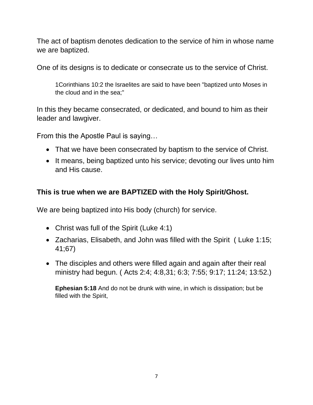The act of baptism denotes dedication to the service of him in whose name we are baptized.

One of its designs is to dedicate or consecrate us to the service of Christ.

1Corinthians 10:2 the Israelites are said to have been "baptized unto Moses in the cloud and in the sea;"

In this they became consecrated, or dedicated, and bound to him as their leader and lawgiver.

From this the Apostle Paul is saying…

- That we have been consecrated by baptism to the service of Christ.
- It means, being baptized unto his service; devoting our lives unto him and His cause.

# **This is true when we are BAPTIZED with the Holy Spirit/Ghost.**

We are being baptized into His body (church) for service.

- Christ was full of the Spirit (Luke 4:1)
- Zacharias, Elisabeth, and John was filled with the Spirit ( Luke 1:15; 41;67)
- The disciples and others were filled again and again after their real ministry had begun. ( Acts 2:4; 4:8,31; 6:3; 7:55; 9:17; 11:24; 13:52.)

**Ephesian 5:18** And do not be drunk with wine, in which is dissipation; but be filled with the Spirit,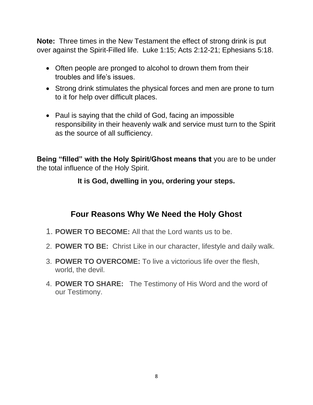**Note:** Three times in the New Testament the effect of strong drink is put over against the Spirit-Filled life. Luke 1:15; Acts 2:12-21; Ephesians 5:18.

- Often people are pronged to alcohol to drown them from their troubles and life's issues.
- Strong drink stimulates the physical forces and men are prone to turn to it for help over difficult places.
- Paul is saying that the child of God, facing an impossible responsibility in their heavenly walk and service must turn to the Spirit as the source of all sufficiency.

**Being "filled" with the Holy Spirit/Ghost means that** you are to be under the total influence of the Holy Spirit.

#### **It is God, dwelling in you, ordering your steps.**

# **Four Reasons Why We Need the Holy Ghost**

- 1. **POWER TO BECOME:** All that the Lord wants us to be.
- 2. **POWER TO BE:** Christ Like in our character, lifestyle and daily walk.
- 3. **POWER TO OVERCOME:** To live a victorious life over the flesh, world, the devil.
- 4. **POWER TO SHARE:** The Testimony of His Word and the word of our Testimony.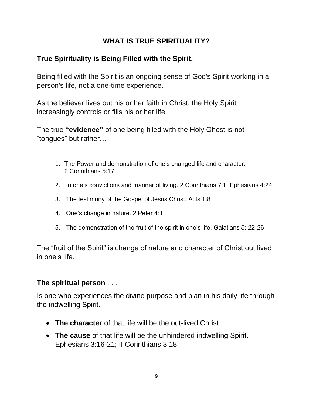### **WHAT IS TRUE SPIRITUALITY?**

# **True Spirituality is Being Filled with the Spirit.**

Being filled with the Spirit is an ongoing sense of God's Spirit working in a person's life, not a one-time experience.

As the believer lives out his or her faith in Christ, the Holy Spirit increasingly controls or fills his or her life.

The true **"evidence"** of one being filled with the Holy Ghost is not "tongues" but rather…

- 1. The Power and demonstration of one's changed life and character. 2 Corinthians 5:17
- 2. In one's convictions and manner of living. 2 Corinthians 7:1; Ephesians 4:24
- 3. The testimony of the Gospel of Jesus Christ. Acts 1:8
- 4. One's change in nature. 2 Peter 4:1
- 5. The demonstration of the fruit of the spirit in one's life. Galatians 5: 22-26

The "fruit of the Spirit" is change of nature and character of Christ out lived in one's life.

#### **The spiritual person** . . .

Is one who experiences the divine purpose and plan in his daily life through the indwelling Spirit.

- **The character** of that life will be the out-lived Christ.
- **The cause** of that life will be the unhindered indwelling Spirit. Ephesians 3:16-21; II Corinthians 3:18.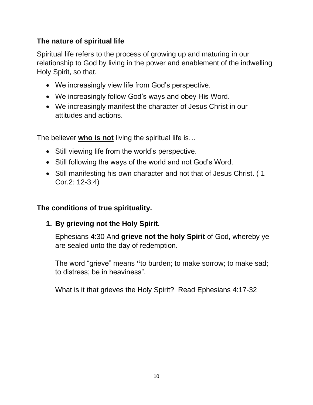## **The nature of spiritual life**

Spiritual life refers to the process of growing up and maturing in our relationship to God by living in the power and enablement of the indwelling Holy Spirit, so that.

- We increasingly view life from God's perspective.
- We increasingly follow God's ways and obey His Word.
- We increasingly manifest the character of Jesus Christ in our attitudes and actions.

The believer **who is not** living the spiritual life is…

- Still viewing life from the world's perspective.
- Still following the ways of the world and not God's Word.
- Still manifesting his own character and not that of Jesus Christ. ( 1 Cor.2: 12-3:4)

#### **The conditions of true spirituality.**

**1. By grieving not the Holy Spirit.**

Ephesians 4:30 And **grieve not the holy Spirit** of God, whereby ye are sealed unto the day of redemption.

The word "grieve" means **"**to burden; to make sorrow; to make sad; to distress; be in heaviness".

What is it that grieves the Holy Spirit? Read Ephesians 4:17-32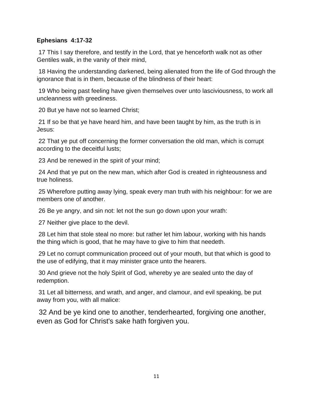#### **Ephesians 4:17-32**

17 This I say therefore, and testify in the Lord, that ye henceforth walk not as other Gentiles walk, in the vanity of their mind,

18 Having the understanding darkened, being alienated from the life of God through the ignorance that is in them, because of the blindness of their heart:

19 Who being past feeling have given themselves over unto lasciviousness, to work all uncleanness with greediness.

20 But ye have not so learned Christ;

21 If so be that ye have heard him, and have been taught by him, as the truth is in Jesus:

22 That ye put off concerning the former conversation the old man, which is corrupt according to the deceitful lusts;

23 And be renewed in the spirit of your mind;

24 And that ye put on the new man, which after God is created in righteousness and true holiness.

25 Wherefore putting away lying, speak every man truth with his neighbour: for we are members one of another.

26 Be ye angry, and sin not: let not the sun go down upon your wrath:

27 Neither give place to the devil.

28 Let him that stole steal no more: but rather let him labour, working with his hands the thing which is good, that he may have to give to him that needeth.

29 Let no corrupt communication proceed out of your mouth, but that which is good to the use of edifying, that it may minister grace unto the hearers.

30 And grieve not the holy Spirit of God, whereby ye are sealed unto the day of redemption.

31 Let all bitterness, and wrath, and anger, and clamour, and evil speaking, be put away from you, with all malice:

32 And be ye kind one to another, tenderhearted, forgiving one another, even as God for Christ's sake hath forgiven you.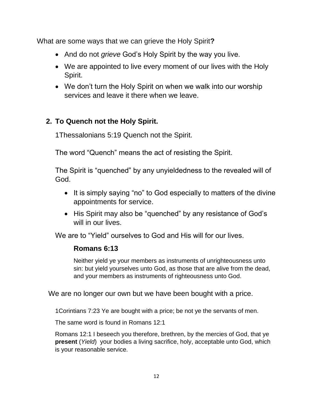What are some ways that we can grieve the Holy Spirit**?** 

- And do not *grieve* God's Holy Spirit by the way you live.
- We are appointed to live every moment of our lives with the Holy Spirit.
- We don't turn the Holy Spirit on when we walk into our worship services and leave it there when we leave.

# **2. To Quench not the Holy Spirit.**

1Thessalonians 5:19 Quench not the Spirit.

The word "Quench" means the act of resisting the Spirit.

The Spirit is "quenched" by any unyieldedness to the revealed will of God.

- It is simply saying "no" to God especially to matters of the divine appointments for service.
- His Spirit may also be "quenched" by any resistance of God's will in our lives.

We are to "Yield" ourselves to God and His will for our lives.

#### **Romans 6:13**

Neither yield ye your members as instruments of unrighteousness unto sin: but yield yourselves unto God, as those that are alive from the dead, and your members as instruments of righteousness unto God.

We are no longer our own but we have been bought with a price.

1Corintians 7:23 Ye are bought with a price; be not ye the servants of men.

The same word is found in Romans 12:1

Romans 12:1 I beseech you therefore, brethren, by the mercies of God, that ye **present** (*Yield*) your bodies a living sacrifice, holy, acceptable unto God, which is your reasonable service.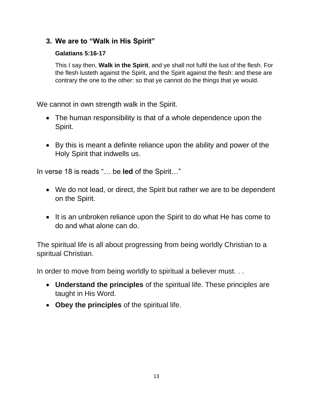#### **3. We are to "Walk in His Spirit"**

#### **Galatians 5:16-17**

This I say then, **Walk in the Spirit**, and ye shall not fulfil the lust of the flesh. For the flesh lusteth against the Spirit, and the Spirit against the flesh: and these are contrary the one to the other: so that ye cannot do the things that ye would.

We cannot in own strength walk in the Spirit.

- The human responsibility is that of a whole dependence upon the Spirit.
- By this is meant a definite reliance upon the ability and power of the Holy Spirit that indwells us.

In verse 18 is reads "… be **led** of the Spirit…"

- We do not lead, or direct, the Spirit but rather we are to be dependent on the Spirit.
- It is an unbroken reliance upon the Spirit to do what He has come to do and what alone can do.

The spiritual life is all about progressing from being worldly Christian to a spiritual Christian.

In order to move from being worldly to spiritual a believer must. . .

- **Understand the principles** of the spiritual life. These principles are taught in His Word.
- **Obey the principles** of the spiritual life.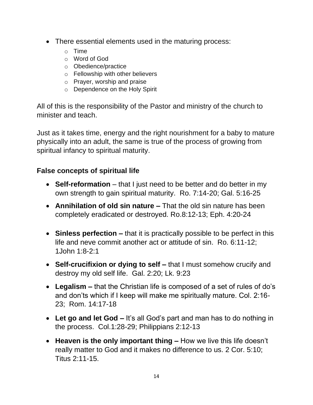- There essential elements used in the maturing process:
	- o Time
	- o Word of God
	- o Obedience/practice
	- o Fellowship with other believers
	- o Prayer, worship and praise
	- o Dependence on the Holy Spirit

All of this is the responsibility of the Pastor and ministry of the church to minister and teach.

Just as it takes time, energy and the right nourishment for a baby to mature physically into an adult, the same is true of the process of growing from spiritual infancy to spiritual maturity.

#### **False concepts of spiritual life**

- **Self-reformation** that I just need to be better and do better in my own strength to gain spiritual maturity. Ro. 7:14-20; Gal. 5:16-25
- **Annihilation of old sin nature –** That the old sin nature has been completely eradicated or destroyed. Ro.8:12-13; Eph. 4:20-24
- **Sinless perfection –** that it is practically possible to be perfect in this life and neve commit another act or attitude of sin. Ro. 6:11-12; 1John 1:8-2:1
- **Self-crucifixion or dying to self –** that I must somehow crucify and destroy my old self life. Gal. 2:20; Lk. 9:23
- **Legalism –** that the Christian life is composed of a set of rules of do's and don'ts which if I keep will make me spiritually mature. Col. 2:16- 23; Rom. 14:17-18
- **Let go and let God –** It's all God's part and man has to do nothing in the process. Col.1:28-29; Philippians 2:12-13
- **Heaven is the only important thing –** How we live this life doesn't really matter to God and it makes no difference to us. 2 Cor. 5:10; Titus 2:11-15.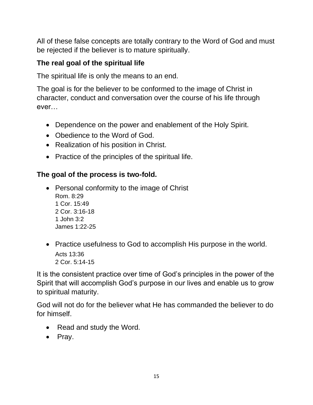All of these false concepts are totally contrary to the Word of God and must be rejected if the believer is to mature spiritually.

# **The real goal of the spiritual life**

The spiritual life is only the means to an end.

The goal is for the believer to be conformed to the image of Christ in character, conduct and conversation over the course of his life through ever…

- Dependence on the power and enablement of the Holy Spirit.
- Obedience to the Word of God.
- Realization of his position in Christ.
- Practice of the principles of the spiritual life.

# **The goal of the process is two-fold.**

- Personal conformity to the image of Christ Rom. 8:29 1 Cor. 15:49 2 Cor. 3:16-18 1 John 3:2 James 1:22-25
- Practice usefulness to God to accomplish His purpose in the world. Acts 13:36 2 Cor. 5:14-15

It is the consistent practice over time of God's principles in the power of the Spirit that will accomplish God's purpose in our lives and enable us to grow to spiritual maturity.

God will not do for the believer what He has commanded the believer to do for himself.

- Read and study the Word.
- Pray.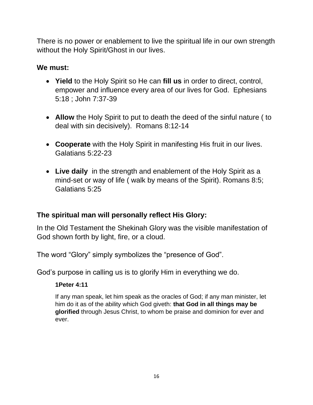There is no power or enablement to live the spiritual life in our own strength without the Holy Spirit/Ghost in our lives.

## **We must:**

- **Yield** to the Holy Spirit so He can **fill us** in order to direct, control, empower and influence every area of our lives for God. Ephesians 5:18 ; John 7:37-39
- **Allow** the Holy Spirit to put to death the deed of the sinful nature ( to deal with sin decisively). Romans 8:12-14
- **Cooperate** with the Holy Spirit in manifesting His fruit in our lives. Galatians 5:22-23
- **Live daily** in the strength and enablement of the Holy Spirit as a mind-set or way of life ( walk by means of the Spirit). Romans 8:5; Galatians 5:25

# **The spiritual man will personally reflect His Glory:**

In the Old Testament the Shekinah Glory was the visible manifestation of God shown forth by light, fire, or a cloud.

The word "Glory" simply symbolizes the "presence of God".

God's purpose in calling us is to glorify Him in everything we do.

#### **1Peter 4:11**

If any man speak, let him speak as the oracles of God; if any man minister, let him do it as of the ability which God giveth: **that God in all things may be glorified** through Jesus Christ, to whom be praise and dominion for ever and ever.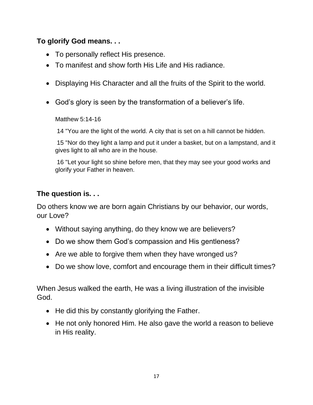## **To glorify God means. . .**

- To personally reflect His presence.
- To manifest and show forth His Life and His radiance.
- Displaying His Character and all the fruits of the Spirit to the world.
- God's glory is seen by the transformation of a believer's life.

Matthew 5:14-16

14 "You are the light of the world. A city that is set on a hill cannot be hidden.

15 "Nor do they light a lamp and put it under a basket, but on a lampstand, and it gives light to all who are in the house.

16 "Let your light so shine before men, that they may see your good works and glorify your Father in heaven.

## **The question is. . .**

Do others know we are born again Christians by our behavior, our words, our Love?

- Without saying anything, do they know we are believers?
- Do we show them God's compassion and His gentleness?
- Are we able to forgive them when they have wronged us?
- Do we show love, comfort and encourage them in their difficult times?

When Jesus walked the earth, He was a living illustration of the invisible God.

- He did this by constantly glorifying the Father.
- He not only honored Him. He also gave the world a reason to believe in His reality.